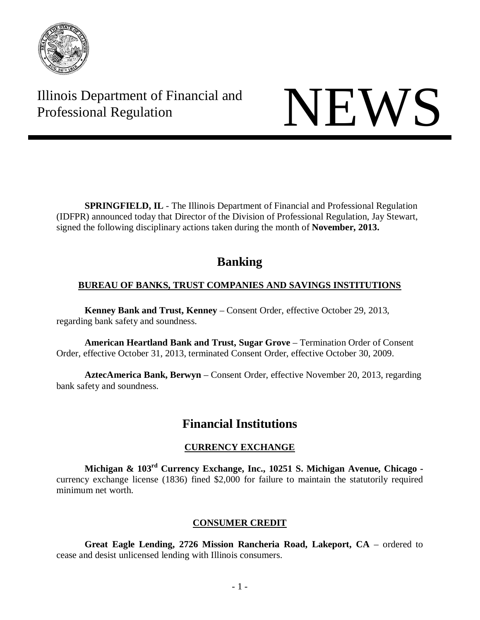

Illinois Department of Financial and Illinois Department of Financial and<br>Professional Regulation NEWS

**SPRINGFIELD, IL** - The Illinois Department of Financial and Professional Regulation (IDFPR) announced today that Director of the Division of Professional Regulation, Jay Stewart, signed the following disciplinary actions taken during the month of **November, 2013.**

# **Banking**

# **BUREAU OF BANKS, TRUST COMPANIES AND SAVINGS INSTITUTIONS**

**Kenney Bank and Trust, Kenney** – Consent Order, effective October 29, 2013, regarding bank safety and soundness.

**American Heartland Bank and Trust, Sugar Grove** – Termination Order of Consent Order, effective October 31, 2013, terminated Consent Order, effective October 30, 2009.

**AztecAmerica Bank, Berwyn** – Consent Order, effective November 20, 2013, regarding bank safety and soundness.

# **Financial Institutions**

# **CURRENCY EXCHANGE**

**Michigan & 103rd Currency Exchange, Inc., 10251 S. Michigan Avenue, Chicago**  currency exchange license (1836) fined \$2,000 for failure to maintain the statutorily required minimum net worth.

# **CONSUMER CREDIT**

**Great Eagle Lending, 2726 Mission Rancheria Road, Lakeport, CA** – ordered to cease and desist unlicensed lending with Illinois consumers.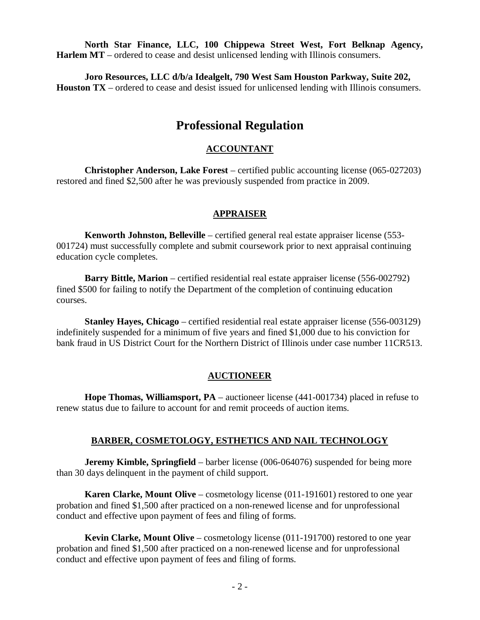**North Star Finance, LLC, 100 Chippewa Street West, Fort Belknap Agency, Harlem MT** – ordered to cease and desist unlicensed lending with Illinois consumers.

**Joro Resources, LLC d/b/a Idealgelt, 790 West Sam Houston Parkway, Suite 202, Houston TX** – ordered to cease and desist issued for unlicensed lending with Illinois consumers.

# **Professional Regulation**

### **ACCOUNTANT**

**Christopher Anderson, Lake Forest** – certified public accounting license (065-027203) restored and fined \$2,500 after he was previously suspended from practice in 2009.

#### **APPRAISER**

**Kenworth Johnston, Belleville** – certified general real estate appraiser license (553- 001724) must successfully complete and submit coursework prior to next appraisal continuing education cycle completes.

**Barry Bittle, Marion** – certified residential real estate appraiser license (556-002792) fined \$500 for failing to notify the Department of the completion of continuing education courses.

**Stanley Hayes, Chicago** – certified residential real estate appraiser license (556-003129) indefinitely suspended for a minimum of five years and fined \$1,000 due to his conviction for bank fraud in US District Court for the Northern District of Illinois under case number 11CR513.

#### **AUCTIONEER**

**Hope Thomas, Williamsport, PA** – auctioneer license (441-001734) placed in refuse to renew status due to failure to account for and remit proceeds of auction items.

#### **BARBER, COSMETOLOGY, ESTHETICS AND NAIL TECHNOLOGY**

**Jeremy Kimble, Springfield** – barber license (006-064076) suspended for being more than 30 days delinquent in the payment of child support.

**Karen Clarke, Mount Olive** – cosmetology license (011-191601) restored to one year probation and fined \$1,500 after practiced on a non-renewed license and for unprofessional conduct and effective upon payment of fees and filing of forms.

**Kevin Clarke, Mount Olive** – cosmetology license (011-191700) restored to one year probation and fined \$1,500 after practiced on a non-renewed license and for unprofessional conduct and effective upon payment of fees and filing of forms.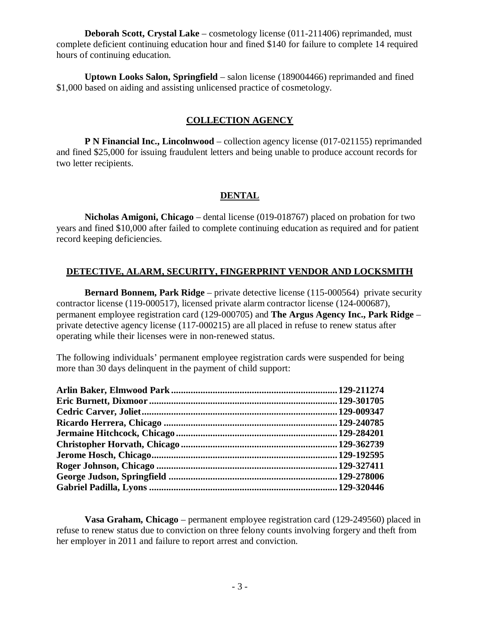**Deborah Scott, Crystal Lake** – cosmetology license (011-211406) reprimanded, must complete deficient continuing education hour and fined \$140 for failure to complete 14 required hours of continuing education.

**Uptown Looks Salon, Springfield** – salon license (189004466) reprimanded and fined \$1,000 based on aiding and assisting unlicensed practice of cosmetology.

## **COLLECTION AGENCY**

**P N Financial Inc., Lincolnwood** – collection agency license (017-021155) reprimanded and fined \$25,000 for issuing fraudulent letters and being unable to produce account records for two letter recipients.

# **DENTAL**

**Nicholas Amigoni, Chicago** – dental license (019-018767) placed on probation for two years and fined \$10,000 after failed to complete continuing education as required and for patient record keeping deficiencies.

# **DETECTIVE, ALARM, SECURITY, FINGERPRINT VENDOR AND LOCKSMITH**

**Bernard Bonnem, Park Ridge** – private detective license (115-000564) private security contractor license (119-000517), licensed private alarm contractor license (124-000687), permanent employee registration card (129-000705) and **The Argus Agency Inc., Park Ridge** – private detective agency license (117-000215) are all placed in refuse to renew status after operating while their licenses were in non-renewed status.

The following individuals' permanent employee registration cards were suspended for being more than 30 days delinquent in the payment of child support:

**Vasa Graham, Chicago** – permanent employee registration card (129-249560) placed in refuse to renew status due to conviction on three felony counts involving forgery and theft from her employer in 2011 and failure to report arrest and conviction.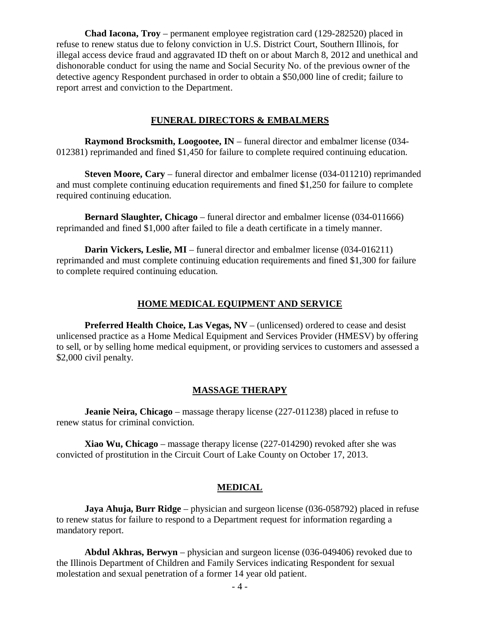**Chad Iacona, Troy** – permanent employee registration card (129-282520) placed in refuse to renew status due to felony conviction in U.S. District Court, Southern Illinois, for illegal access device fraud and aggravated ID theft on or about March 8, 2012 and unethical and dishonorable conduct for using the name and Social Security No. of the previous owner of the detective agency Respondent purchased in order to obtain a \$50,000 line of credit; failure to report arrest and conviction to the Department.

#### **FUNERAL DIRECTORS & EMBALMERS**

**Raymond Brocksmith, Loogootee, IN** – funeral director and embalmer license (034- 012381) reprimanded and fined \$1,450 for failure to complete required continuing education.

**Steven Moore, Cary** – funeral director and embalmer license (034-011210) reprimanded and must complete continuing education requirements and fined \$1,250 for failure to complete required continuing education.

**Bernard Slaughter, Chicago** – funeral director and embalmer license (034-011666) reprimanded and fined \$1,000 after failed to file a death certificate in a timely manner.

**Darin Vickers, Leslie, MI** – funeral director and embalmer license (034-016211) reprimanded and must complete continuing education requirements and fined \$1,300 for failure to complete required continuing education.

#### **HOME MEDICAL EQUIPMENT AND SERVICE**

**Preferred Health Choice, Las Vegas, NV** – (unlicensed) ordered to cease and desist unlicensed practice as a Home Medical Equipment and Services Provider (HMESV) by offering to sell, or by selling home medical equipment, or providing services to customers and assessed a \$2,000 civil penalty.

#### **MASSAGE THERAPY**

**Jeanie Neira, Chicago** – massage therapy license (227-011238) placed in refuse to renew status for criminal conviction.

**Xiao Wu, Chicago** – massage therapy license (227-014290) revoked after she was convicted of prostitution in the Circuit Court of Lake County on October 17, 2013.

#### **MEDICAL**

**Jaya Ahuja, Burr Ridge** – physician and surgeon license (036-058792) placed in refuse to renew status for failure to respond to a Department request for information regarding a mandatory report.

**Abdul Akhras, Berwyn** – physician and surgeon license (036-049406) revoked due to the Illinois Department of Children and Family Services indicating Respondent for sexual molestation and sexual penetration of a former 14 year old patient.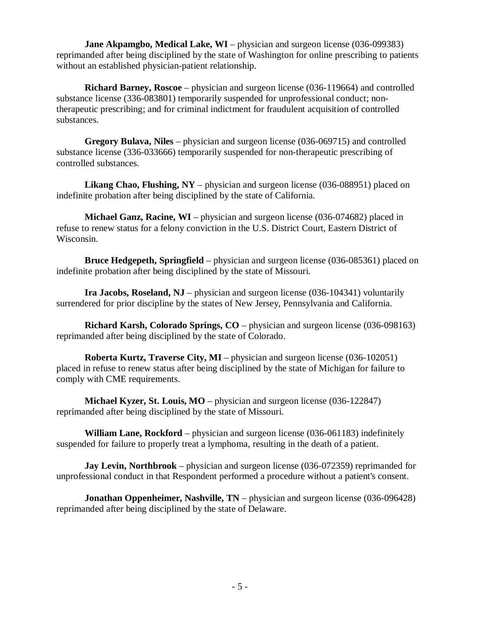**Jane Akpamgbo, Medical Lake, WI** – physician and surgeon license (036-099383) reprimanded after being disciplined by the state of Washington for online prescribing to patients without an established physician-patient relationship.

**Richard Barney, Roscoe** – physician and surgeon license (036-119664) and controlled substance license (336-083801) temporarily suspended for unprofessional conduct; nontherapeutic prescribing; and for criminal indictment for fraudulent acquisition of controlled substances.

**Gregory Bulava, Niles** – physician and surgeon license (036-069715) and controlled substance license (336-033666) temporarily suspended for non-therapeutic prescribing of controlled substances.

**Likang Chao, Flushing, NY** – physician and surgeon license (036-088951) placed on indefinite probation after being disciplined by the state of California.

**Michael Ganz, Racine, WI** – physician and surgeon license (036-074682) placed in refuse to renew status for a felony conviction in the U.S. District Court, Eastern District of Wisconsin.

**Bruce Hedgepeth, Springfield** – physician and surgeon license (036-085361) placed on indefinite probation after being disciplined by the state of Missouri.

**Ira Jacobs, Roseland, NJ** – physician and surgeon license (036-104341) voluntarily surrendered for prior discipline by the states of New Jersey, Pennsylvania and California.

**Richard Karsh, Colorado Springs, CO** – physician and surgeon license (036-098163) reprimanded after being disciplined by the state of Colorado.

**Roberta Kurtz, Traverse City, MI** – physician and surgeon license (036-102051) placed in refuse to renew status after being disciplined by the state of Michigan for failure to comply with CME requirements.

**Michael Kyzer, St. Louis, MO** – physician and surgeon license (036-122847) reprimanded after being disciplined by the state of Missouri.

**William Lane, Rockford** – physician and surgeon license (036-061183) indefinitely suspended for failure to properly treat a lymphoma, resulting in the death of a patient.

**Jay Levin, Northbrook** – physician and surgeon license (036-072359) reprimanded for unprofessional conduct in that Respondent performed a procedure without a patient's consent.

**Jonathan Oppenheimer, Nashville, TN** – physician and surgeon license (036-096428) reprimanded after being disciplined by the state of Delaware.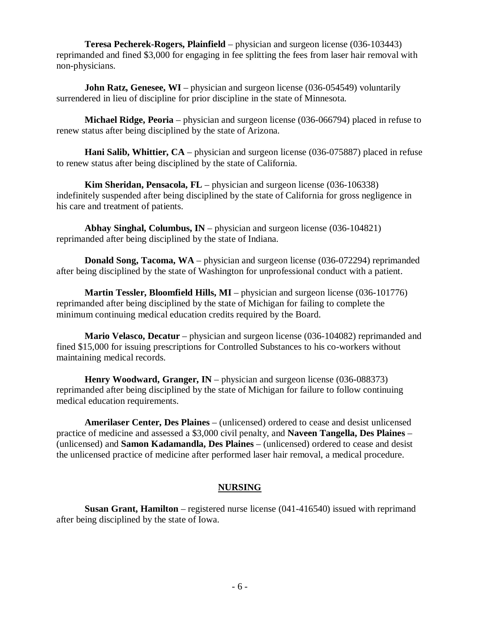**Teresa Pecherek-Rogers, Plainfield** – physician and surgeon license (036-103443) reprimanded and fined \$3,000 for engaging in fee splitting the fees from laser hair removal with non-physicians.

**John Ratz, Genesee, WI** – physician and surgeon license (036-054549) voluntarily surrendered in lieu of discipline for prior discipline in the state of Minnesota.

**Michael Ridge, Peoria** – physician and surgeon license (036-066794) placed in refuse to renew status after being disciplined by the state of Arizona.

**Hani Salib, Whittier, CA** – physician and surgeon license (036-075887) placed in refuse to renew status after being disciplined by the state of California.

**Kim Sheridan, Pensacola, FL** – physician and surgeon license (036-106338) indefinitely suspended after being disciplined by the state of California for gross negligence in his care and treatment of patients.

**Abhay Singhal, Columbus, IN** – physician and surgeon license (036-104821) reprimanded after being disciplined by the state of Indiana.

**Donald Song, Tacoma, WA** – physician and surgeon license (036-072294) reprimanded after being disciplined by the state of Washington for unprofessional conduct with a patient.

**Martin Tessler, Bloomfield Hills, MI** – physician and surgeon license (036-101776) reprimanded after being disciplined by the state of Michigan for failing to complete the minimum continuing medical education credits required by the Board.

**Mario Velasco, Decatur** – physician and surgeon license (036-104082) reprimanded and fined \$15,000 for issuing prescriptions for Controlled Substances to his co-workers without maintaining medical records.

**Henry Woodward, Granger, IN** – physician and surgeon license (036-088373) reprimanded after being disciplined by the state of Michigan for failure to follow continuing medical education requirements.

**Amerilaser Center, Des Plaines** – (unlicensed) ordered to cease and desist unlicensed practice of medicine and assessed a \$3,000 civil penalty, and **Naveen Tangella, Des Plaines** – (unlicensed) and **Samon Kadamandla, Des Plaines** – (unlicensed) ordered to cease and desist the unlicensed practice of medicine after performed laser hair removal, a medical procedure.

### **NURSING**

**Susan Grant, Hamilton** – registered nurse license (041-416540) issued with reprimand after being disciplined by the state of Iowa.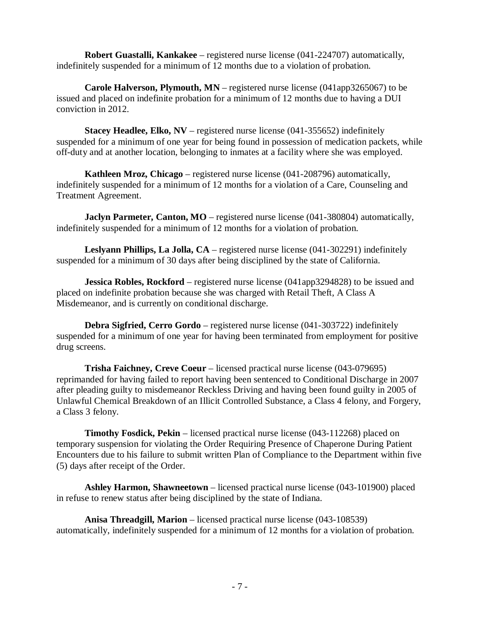**Robert Guastalli, Kankakee** – registered nurse license (041-224707) automatically, indefinitely suspended for a minimum of 12 months due to a violation of probation.

**Carole Halverson, Plymouth, MN** – registered nurse license (041app3265067) to be issued and placed on indefinite probation for a minimum of 12 months due to having a DUI conviction in 2012.

**Stacey Headlee, Elko, NV** – registered nurse license (041-355652) indefinitely suspended for a minimum of one year for being found in possession of medication packets, while off-duty and at another location, belonging to inmates at a facility where she was employed.

**Kathleen Mroz, Chicago** – registered nurse license (041-208796) automatically, indefinitely suspended for a minimum of 12 months for a violation of a Care, Counseling and Treatment Agreement.

**Jaclyn Parmeter, Canton, MO** – registered nurse license (041-380804) automatically, indefinitely suspended for a minimum of 12 months for a violation of probation.

**Leslyann Phillips, La Jolla, CA** – registered nurse license (041-302291) indefinitely suspended for a minimum of 30 days after being disciplined by the state of California.

**Jessica Robles, Rockford** – registered nurse license (041app3294828) to be issued and placed on indefinite probation because she was charged with Retail Theft, A Class A Misdemeanor, and is currently on conditional discharge.

**Debra Sigfried, Cerro Gordo** – registered nurse license (041-303722) indefinitely suspended for a minimum of one year for having been terminated from employment for positive drug screens.

**Trisha Faichney, Creve Coeur** – licensed practical nurse license (043-079695) reprimanded for having failed to report having been sentenced to Conditional Discharge in 2007 after pleading guilty to misdemeanor Reckless Driving and having been found guilty in 2005 of Unlawful Chemical Breakdown of an Illicit Controlled Substance, a Class 4 felony, and Forgery, a Class 3 felony.

**Timothy Fosdick, Pekin** – licensed practical nurse license (043-112268) placed on temporary suspension for violating the Order Requiring Presence of Chaperone During Patient Encounters due to his failure to submit written Plan of Compliance to the Department within five (5) days after receipt of the Order.

**Ashley Harmon, Shawneetown** – licensed practical nurse license (043-101900) placed in refuse to renew status after being disciplined by the state of Indiana.

**Anisa Threadgill, Marion** – licensed practical nurse license (043-108539) automatically, indefinitely suspended for a minimum of 12 months for a violation of probation.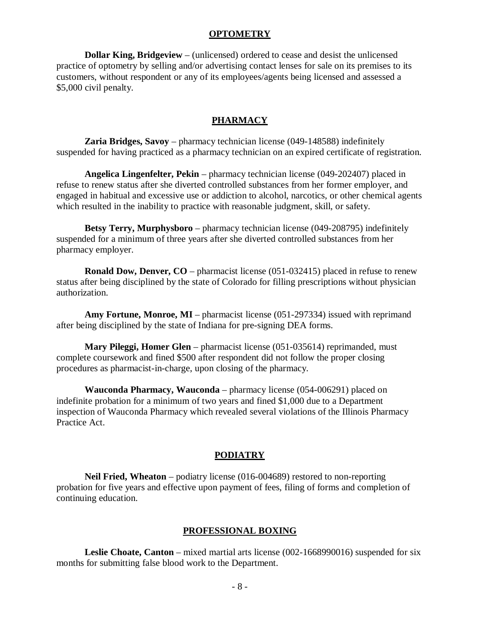#### **OPTOMETRY**

**Dollar King, Bridgeview** – (unlicensed) ordered to cease and desist the unlicensed practice of optometry by selling and/or advertising contact lenses for sale on its premises to its customers, without respondent or any of its employees/agents being licensed and assessed a \$5,000 civil penalty.

#### **PHARMACY**

**Zaria Bridges, Savoy** – pharmacy technician license (049-148588) indefinitely suspended for having practiced as a pharmacy technician on an expired certificate of registration.

**Angelica Lingenfelter, Pekin** – pharmacy technician license (049-202407) placed in refuse to renew status after she diverted controlled substances from her former employer, and engaged in habitual and excessive use or addiction to alcohol, narcotics, or other chemical agents which resulted in the inability to practice with reasonable judgment, skill, or safety.

**Betsy Terry, Murphysboro** – pharmacy technician license (049-208795) indefinitely suspended for a minimum of three years after she diverted controlled substances from her pharmacy employer.

**Ronald Dow, Denver, CO** – pharmacist license (051-032415) placed in refuse to renew status after being disciplined by the state of Colorado for filling prescriptions without physician authorization.

**Amy Fortune, Monroe, MI** – pharmacist license (051-297334) issued with reprimand after being disciplined by the state of Indiana for pre-signing DEA forms.

**Mary Pileggi, Homer Glen** – pharmacist license (051-035614) reprimanded, must complete coursework and fined \$500 after respondent did not follow the proper closing procedures as pharmacist-in-charge, upon closing of the pharmacy.

**Wauconda Pharmacy, Wauconda** – pharmacy license (054-006291) placed on indefinite probation for a minimum of two years and fined \$1,000 due to a Department inspection of Wauconda Pharmacy which revealed several violations of the Illinois Pharmacy Practice Act.

#### **PODIATRY**

**Neil Fried, Wheaton** – podiatry license (016-004689) restored to non-reporting probation for five years and effective upon payment of fees, filing of forms and completion of continuing education.

#### **PROFESSIONAL BOXING**

**Leslie Choate, Canton** – mixed martial arts license (002-1668990016) suspended for six months for submitting false blood work to the Department.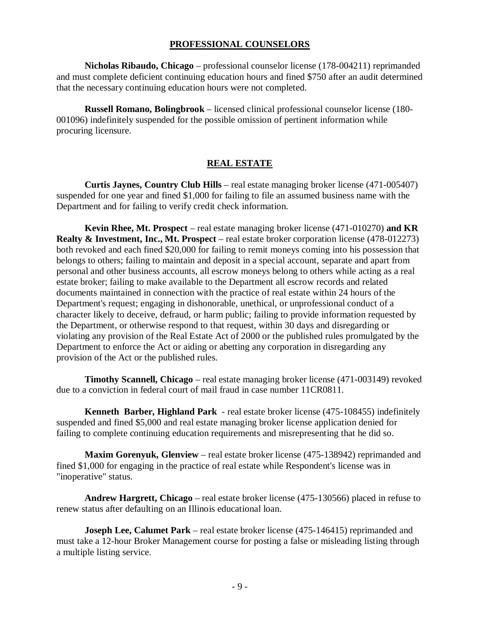#### **PROFESSIONAL COUNSELORS**

**Nicholas Ribaudo, Chicago** – professional counselor license (178-004211) reprimanded and must complete deficient continuing education hours and fined \$750 after an audit determined that the necessary continuing education hours were not completed.

**Russell Romano, Bolingbrook** – licensed clinical professional counselor license (180- 001096) indefinitely suspended for the possible omission of pertinent information while procuring licensure.

### **REAL ESTATE**

**Curtis Jaynes, Country Club Hills** – real estate managing broker license (471-005407) suspended for one year and fined \$1,000 for failing to file an assumed business name with the Department and for failing to verify credit check information.

**Kevin Rhee, Mt. Prospect** – real estate managing broker license (471-010270) **and KR Realty & Investment, Inc., Mt. Prospect** – real estate broker corporation license (478-012273) both revoked and each fined \$20,000 for failing to remit moneys coming into his possession that belongs to others; failing to maintain and deposit in a special account, separate and apart from personal and other business accounts, all escrow moneys belong to others while acting as a real estate broker; failing to make available to the Department all escrow records and related documents maintained in connection with the practice of real estate within 24 hours of the Department's request; engaging in dishonorable, unethical, or unprofessional conduct of a character likely to deceive, defraud, or harm public; failing to provide information requested by the Department, or otherwise respond to that request, within 30 days and disregarding or violating any provision of the Real Estate Act of 2000 or the published rules promulgated by the Department to enforce the Act or aiding or abetting any corporation in disregarding any provision of the Act or the published rules.

**Timothy Scannell, Chicago** – real estate managing broker license (471-003149) revoked due to a conviction in federal court of mail fraud in case number 11CR0811.

**Kenneth Barber, Highland Park** - real estate broker license (475-108455) indefinitely suspended and fined \$5,000 and real estate managing broker license application denied for failing to complete continuing education requirements and misrepresenting that he did so.

**Maxim Gorenyuk, Glenview** – real estate broker license (475-138942) reprimanded and fined \$1,000 for engaging in the practice of real estate while Respondent's license was in "inoperative" status.

**Andrew Hargrett, Chicago** – real estate broker license (475-130566) placed in refuse to renew status after defaulting on an Illinois educational loan.

**Joseph Lee, Calumet Park** – real estate broker license (475-146415) reprimanded and must take a 12-hour Broker Management course for posting a false or misleading listing through a multiple listing service.